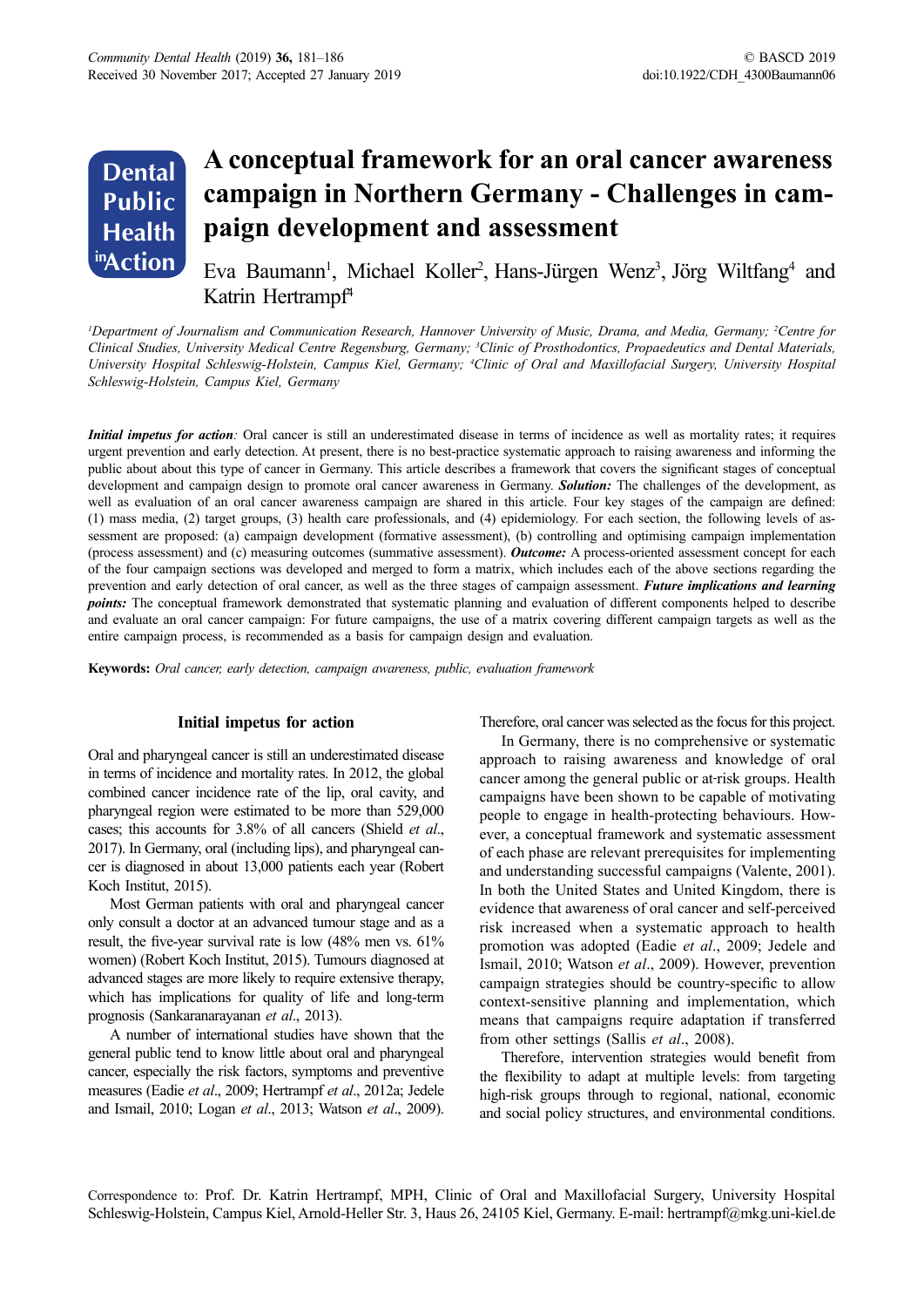### **A conceptual framework for an oral cancer awareness campaign in Northern Germany - Challenges in campaign development and assessment Dental Public Health inAction**

Eva Baumann<sup>1</sup>, Michael Koller<sup>2</sup>, Hans-Jürgen Wenz<sup>3</sup>, Jörg Wiltfang<sup>4</sup> and Katrin Hertrampf<sup>4</sup>

<sup>*I*</sup> Department of Journalism and Communication Research, Hannover University of Music, Drama, and Media, Germany; <sup>2</sup>Centre for *Clinical Studies, University Medical Centre Regensburg, Germany; 3 Clinic of Prosthodontics, Propaedeutics and Dental Materials,*  University Hospital Schleswig-Holstein, Campus Kiel, Germany; <sup>4</sup>Clinic of Oral and Maxillofacial Surgery, University Hospital *Schleswig-Holstein, Campus Kiel, Germany*

*Initial impetus for action*: Oral cancer is still an underestimated disease in terms of incidence as well as mortality rates; it requires urgent prevention and early detection. At present, there is no best-practice systematic approach to raising awareness and informing the public about about this type of cancer in Germany. This article describes a framework that covers the significant stages of conceptual development and campaign design to promote oral cancer awareness in Germany. *Solution:* The challenges of the development, as well as evaluation of an oral cancer awareness campaign are shared in this article. Four key stages of the campaign are defined: (1) mass media, (2) target groups, (3) health care professionals, and (4) epidemiology. For each section, the following levels of assessment are proposed: (a) campaign development (formative assessment), (b) controlling and optimising campaign implementation (process assessment) and (c) measuring outcomes (summative assessment). *Outcome:* A process-oriented assessment concept for each of the four campaign sections was developed and merged to form a matrix, which includes each of the above sections regarding the prevention and early detection of oral cancer, as well as the three stages of campaign assessment. *Future implications and learning points:* The conceptual framework demonstrated that systematic planning and evaluation of different components helped to describe and evaluate an oral cancer campaign: For future campaigns, the use of a matrix covering different campaign targets as well as the entire campaign process, is recommended as a basis for campaign design and evaluation.

**Keywords:** *Oral cancer, early detection, campaign awareness, public, evaluation framework*

#### **Initial impetus for action**

Oral and pharyngeal cancer is still an underestimated disease in terms of incidence and mortality rates. In 2012, the global combined cancer incidence rate of the lip, oral cavity, and pharyngeal region were estimated to be more than 529,000 cases; this accounts for 3.8% of all cancers (Shield *et al*., 2017). In Germany, oral (including lips), and pharyngeal cancer is diagnosed in about 13,000 patients each year (Robert Koch Institut, 2015).

Most German patients with oral and pharyngeal cancer only consult a doctor at an advanced tumour stage and as a result, the five-year survival rate is low (48% men vs. 61% women) (Robert Koch Institut, 2015). Tumours diagnosed at advanced stages are more likely to require extensive therapy, which has implications for quality of life and long-term prognosis (Sankaranarayanan *et al*., 2013).

A number of international studies have shown that the general public tend to know little about oral and pharyngeal cancer, especially the risk factors, symptoms and preventive measures (Eadie *et al*., 2009; Hertrampf *et al*., 2012a; Jedele and Ismail, 2010; Logan *et al*., 2013; Watson *et al*., 2009).

Therefore, oral cancer was selected as the focus for this project.

In Germany, there is no comprehensive or systematic approach to raising awareness and knowledge of oral cancer among the general public or at risk groups. Health campaigns have been shown to be capable of motivating people to engage in health-protecting behaviours. However, a conceptual framework and systematic assessment of each phase are relevant prerequisites for implementing and understanding successful campaigns (Valente, 2001). In both the United States and United Kingdom, there is evidence that awareness of oral cancer and self-perceived risk increased when a systematic approach to health promotion was adopted (Eadie *et al*., 2009; Jedele and Ismail, 2010; Watson *et al*., 2009). However, prevention campaign strategies should be country-specific to allow context-sensitive planning and implementation, which means that campaigns require adaptation if transferred from other settings (Sallis *et al*., 2008).

Therefore, intervention strategies would benefit from the flexibility to adapt at multiple levels: from targeting high-risk groups through to regional, national, economic and social policy structures, and environmental conditions.

Correspondence to: Prof. Dr. Katrin Hertrampf, MPH, Clinic of Oral and Maxillofacial Surgery, University Hospital Schleswig-Holstein, Campus Kiel, Arnold-Heller Str. 3, Haus 26, 24105 Kiel, Germany. E-mail: hertrampf@mkg.uni-kiel.de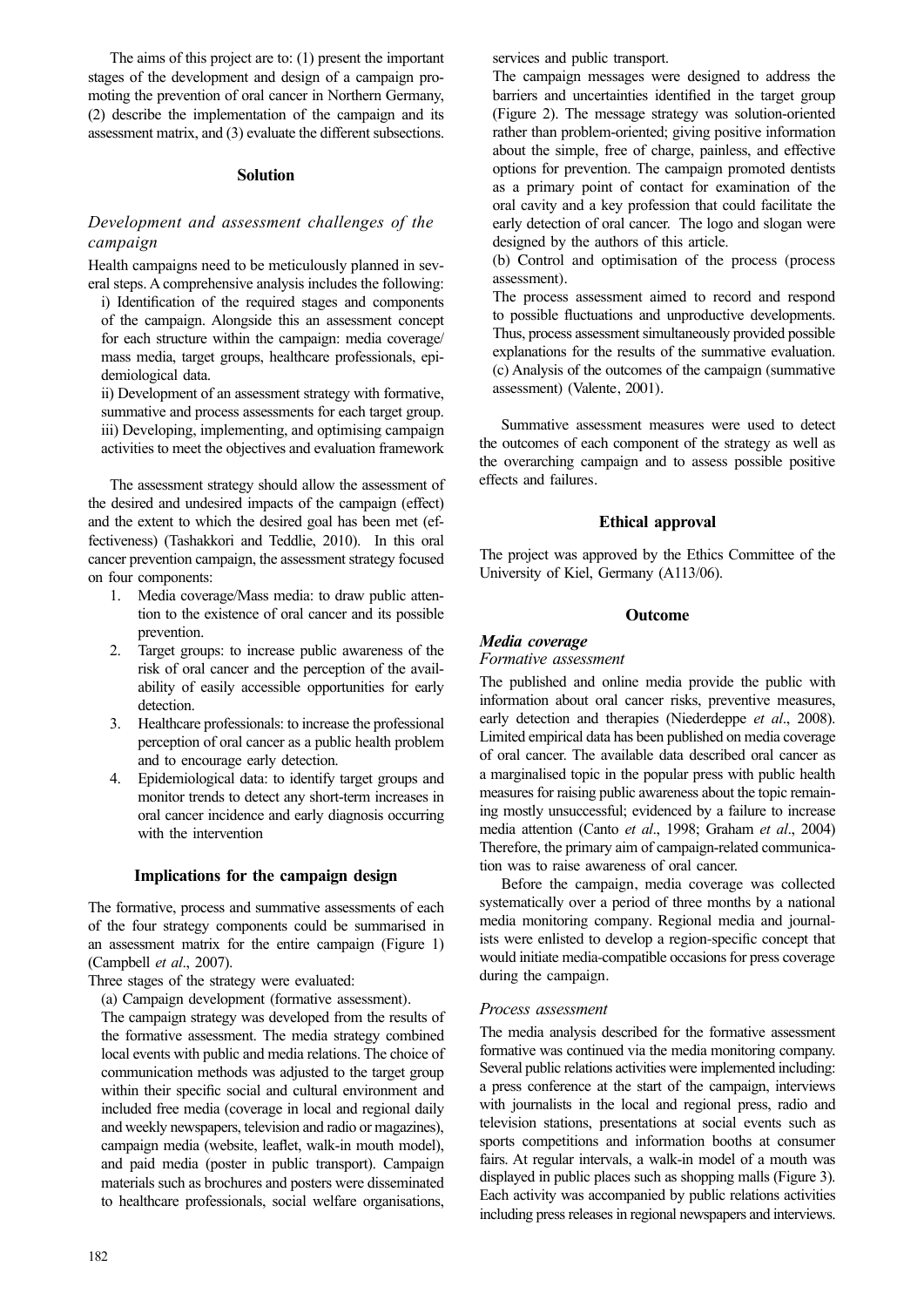The aims of this project are to: (1) present the important stages of the development and design of a campaign promoting the prevention of oral cancer in Northern Germany, (2) describe the implementation of the campaign and its assessment matrix, and (3) evaluate the different subsections.

#### **Solution**

## *Development and assessment challenges of the campaign*

Health campaigns need to be meticulously planned in several steps. A comprehensive analysis includes the following:

i) Identification of the required stages and components of the campaign. Alongside this an assessment concept for each structure within the campaign: media coverage/ mass media, target groups, healthcare professionals, epidemiological data.

ii) Development of an assessment strategy with formative, summative and process assessments for each target group. iii) Developing, implementing, and optimising campaign activities to meet the objectives and evaluation framework

The assessment strategy should allow the assessment of the desired and undesired impacts of the campaign (effect) and the extent to which the desired goal has been met (effectiveness) (Tashakkori and Teddlie, 2010). In this oral cancer prevention campaign, the assessment strategy focused on four components:

- 1. Media coverage/Mass media: to draw public attention to the existence of oral cancer and its possible prevention.
- 2. Target groups: to increase public awareness of the risk of oral cancer and the perception of the availability of easily accessible opportunities for early detection.
- 3. Healthcare professionals: to increase the professional perception of oral cancer as a public health problem and to encourage early detection.
- 4. Epidemiological data: to identify target groups and monitor trends to detect any short-term increases in oral cancer incidence and early diagnosis occurring with the intervention

#### **Implications for the campaign design**

The formative, process and summative assessments of each of the four strategy components could be summarised in an assessment matrix for the entire campaign (Figure 1) (Campbell *et al*., 2007).

Three stages of the strategy were evaluated:

(a) Campaign development (formative assessment).

The campaign strategy was developed from the results of the formative assessment. The media strategy combined local events with public and media relations. The choice of communication methods was adjusted to the target group within their specific social and cultural environment and included free media (coverage in local and regional daily and weekly newspapers, television and radio or magazines), campaign media (website, leaflet, walk-in mouth model), and paid media (poster in public transport). Campaign materials such as brochures and posters were disseminated to healthcare professionals, social welfare organisations, services and public transport.

The campaign messages were designed to address the barriers and uncertainties identified in the target group (Figure 2). The message strategy was solution-oriented rather than problem-oriented; giving positive information about the simple, free of charge, painless, and effective options for prevention. The campaign promoted dentists as a primary point of contact for examination of the oral cavity and a key profession that could facilitate the early detection of oral cancer. The logo and slogan were designed by the authors of this article.

(b) Control and optimisation of the process (process assessment).

The process assessment aimed to record and respond to possible fluctuations and unproductive developments. Thus, process assessment simultaneously provided possible explanations for the results of the summative evaluation. (c) Analysis of the outcomes of the campaign (summative assessment) (Valente, 2001).

Summative assessment measures were used to detect the outcomes of each component of the strategy as well as the overarching campaign and to assess possible positive effects and failures.

#### **Ethical approval**

The project was approved by the Ethics Committee of the University of Kiel, Germany (A113/06).

#### **Outcome**

## *Media coverage*

### *Formative assessment*

The published and online media provide the public with information about oral cancer risks, preventive measures, early detection and therapies (Niederdeppe *et al*., 2008). Limited empirical data has been published on media coverage of oral cancer. The available data described oral cancer as a marginalised topic in the popular press with public health measures for raising public awareness about the topic remaining mostly unsuccessful; evidenced by a failure to increase media attention (Canto *et al*., 1998; Graham *et al*., 2004) Therefore, the primary aim of campaign-related communication was to raise awareness of oral cancer.

Before the campaign, media coverage was collected systematically over a period of three months by a national media monitoring company. Regional media and journalists were enlisted to develop a region-specific concept that would initiate media-compatible occasions for press coverage during the campaign.

#### *Process assessment*

The media analysis described for the formative assessment formative was continued via the media monitoring company. Several public relations activities were implemented including: a press conference at the start of the campaign, interviews with journalists in the local and regional press, radio and television stations, presentations at social events such as sports competitions and information booths at consumer fairs. At regular intervals, a walk-in model of a mouth was displayed in public places such as shopping malls (Figure 3). Each activity was accompanied by public relations activities including press releases in regional newspapers and interviews.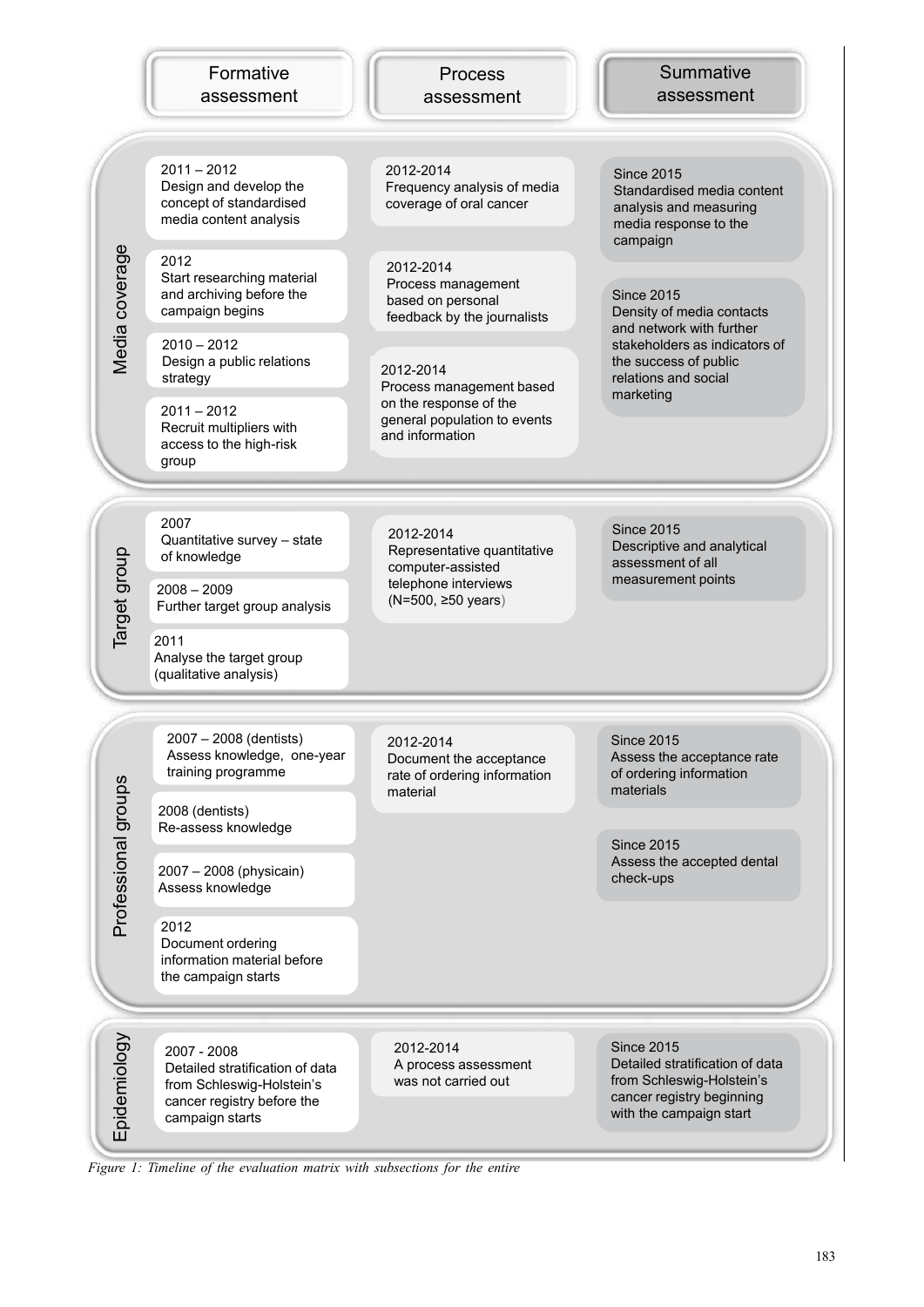| Formative  |
|------------|
| assessment |

Process assessment

# Summative assessment

Standardised media content analysis and measuring media response to the

Since 2015

campaign

Since 2015

marketing

2011 – 2012 Design and develop the concept of standardised media content analysis

2012 Start researching material and archiving before the campaign begins

2010 – 2012 Design a public relations strategy

2011 – 2012 Recruit multipliers with access to the high-risk group

2012-2014 Frequency analysis of media coverage of oral cancer

2012-2014 Process management based on personal feedback by the journalists

2012-2014 Process management based on the response of the general population to events and information

Density of media contacts and network with further stakeholders as indicators of the success of public relations and social

2007 Quantitative survey – state of knowledge

2008 – 2009 Further target group analysis

2011 Analyse the target group (qualitative analysis)

Representative quantitative computer-assisted telephone interviews (N=500, ≥50 years)

2012-2014

Since 2015 Descriptive and analytical assessment of all measurement points

2007 – 2008 (dentists) Assess knowledge, one-year training programme

2008 (dentists) Re-assess knowledge

2007 – 2008 (physicain) Assess knowledge

2012 Document ordering information material before the campaign starts

 $\geq$ 

2012-2014 Document the acceptance rate of ordering information material

Since 2015 Assess the acceptance rate of ordering information materials

Since 2015 Assess the accepted dental check-ups

**Figure 1:** Timeline of the entire of the entire of the entire of the entire of the entire of the entire of the entire of the entire cone of the entire of the entire the entire of the entire of the entire of the entire of 2007 - 2008 Detailed stratification of data from Schleswig-Holstein's cancer registry before the campaign starts

2012-2014 A process assessment was not carried out

Since 2015 Detailed stratification of data from Schleswig-Holstein's cancer registry beginning with the campaign start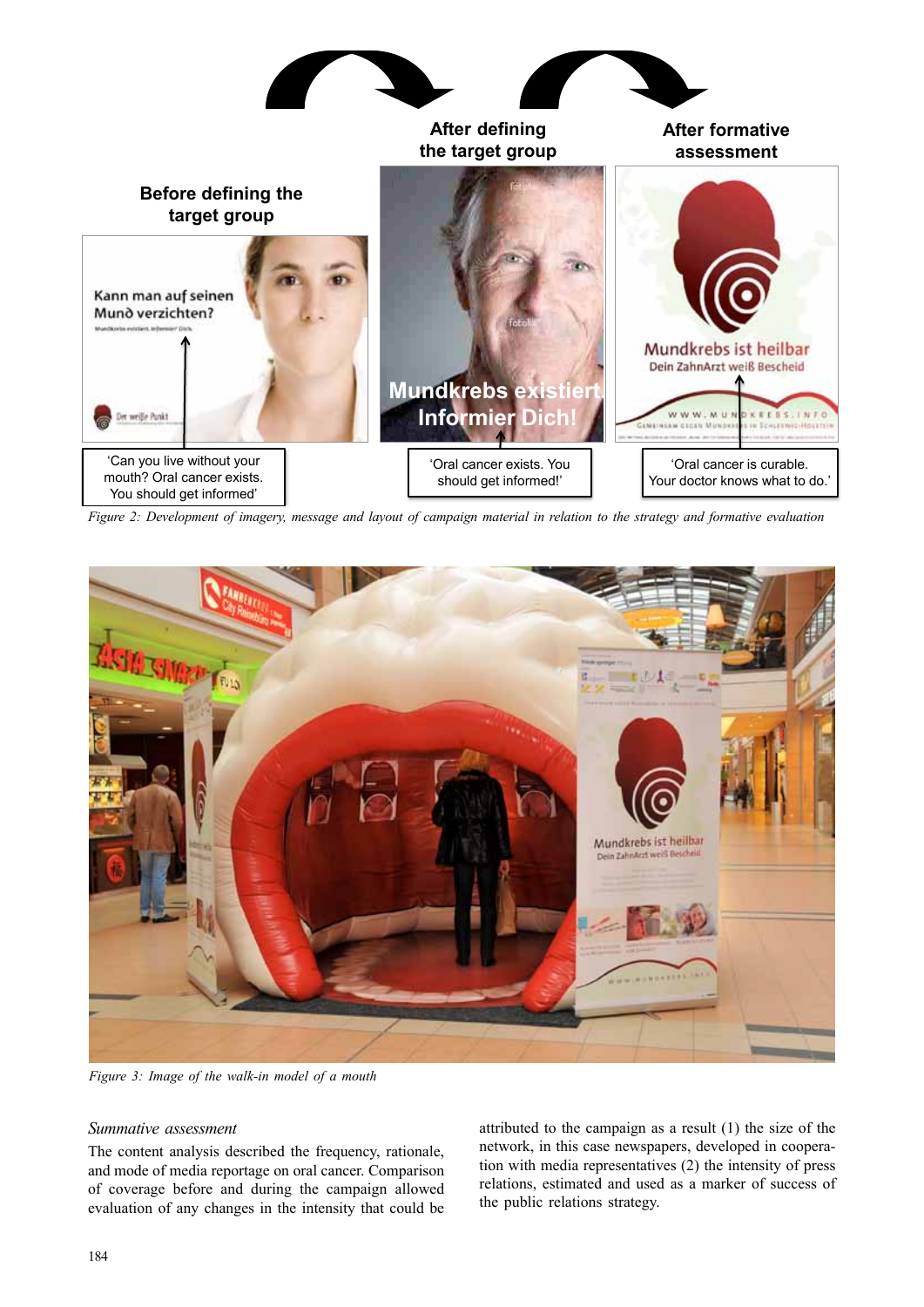

*Figure 2: Development of imagery, message and layout of campaign material in relation to the strategy and formative evaluation*



*Figure 3: Image of the walk-in model of a mouth*

#### *Summative assessment*

The content analysis described the frequency, rationale, and mode of media reportage on oral cancer. Comparison of coverage before and during the campaign allowed evaluation of any changes in the intensity that could be

attributed to the campaign as a result (1) the size of the network, in this case newspapers, developed in cooperation with media representatives (2) the intensity of press relations, estimated and used as a marker of success of the public relations strategy.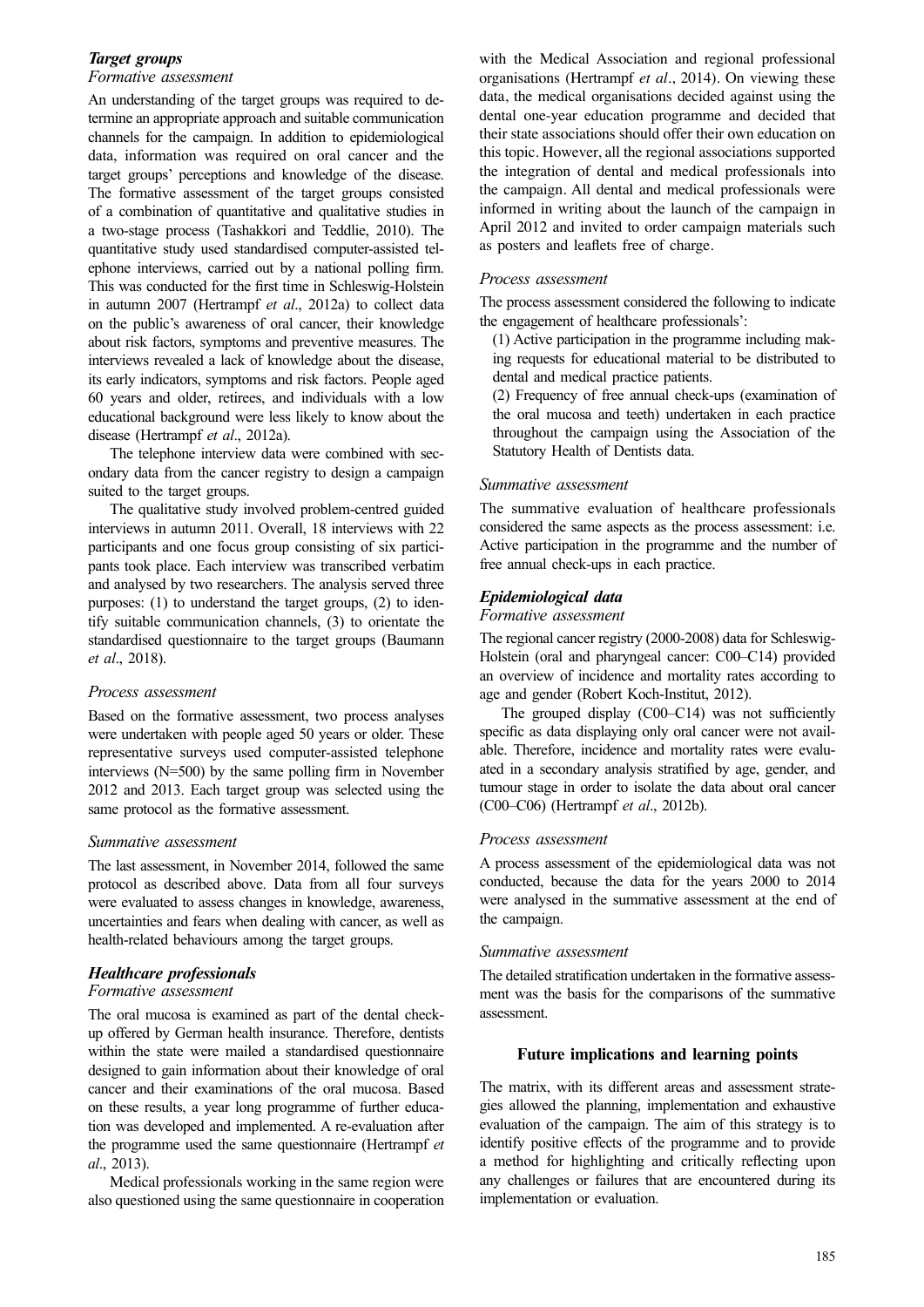### *Target groups Formative assessment*

An understanding of the target groups was required to determine an appropriate approach and suitable communication channels for the campaign. In addition to epidemiological data, information was required on oral cancer and the target groups' perceptions and knowledge of the disease. The formative assessment of the target groups consisted of a combination of quantitative and qualitative studies in a two-stage process (Tashakkori and Teddlie, 2010). The quantitative study used standardised computer-assisted telephone interviews, carried out by a national polling firm. This was conducted for the first time in Schleswig-Holstein in autumn 2007 (Hertrampf *et al*., 2012a) to collect data on the public's awareness of oral cancer, their knowledge about risk factors, symptoms and preventive measures. The interviews revealed a lack of knowledge about the disease, its early indicators, symptoms and risk factors. People aged 60 years and older, retirees, and individuals with a low educational background were less likely to know about the disease (Hertrampf *et al*., 2012a).

The telephone interview data were combined with secondary data from the cancer registry to design a campaign suited to the target groups.

The qualitative study involved problem-centred guided interviews in autumn 2011. Overall, 18 interviews with 22 participants and one focus group consisting of six participants took place. Each interview was transcribed verbatim and analysed by two researchers. The analysis served three purposes: (1) to understand the target groups, (2) to identify suitable communication channels, (3) to orientate the standardised questionnaire to the target groups (Baumann *et al*., 2018).

### *Process assessment*

Based on the formative assessment, two process analyses were undertaken with people aged 50 years or older. These representative surveys used computer-assisted telephone interviews (N=500) by the same polling firm in November 2012 and 2013. Each target group was selected using the same protocol as the formative assessment.

### *Summative assessment*

The last assessment, in November 2014, followed the same protocol as described above. Data from all four surveys were evaluated to assess changes in knowledge, awareness, uncertainties and fears when dealing with cancer, as well as health-related behaviours among the target groups.

# *Healthcare professionals*

## *Formative assessment*

The oral mucosa is examined as part of the dental checkup offered by German health insurance. Therefore, dentists within the state were mailed a standardised questionnaire designed to gain information about their knowledge of oral cancer and their examinations of the oral mucosa. Based on these results, a year long programme of further education was developed and implemented. A re-evaluation after the programme used the same questionnaire (Hertrampf *et al*., 2013).

Medical professionals working in the same region were also questioned using the same questionnaire in cooperation

with the Medical Association and regional professional organisations (Hertrampf *et al*., 2014). On viewing these data, the medical organisations decided against using the dental one-year education programme and decided that their state associations should offer their own education on this topic. However, all the regional associations supported the integration of dental and medical professionals into the campaign. All dental and medical professionals were informed in writing about the launch of the campaign in April 2012 and invited to order campaign materials such as posters and leaflets free of charge.

## *Process assessment*

The process assessment considered the following to indicate the engagement of healthcare professionals':

- (1) Active participation in the programme including making requests for educational material to be distributed to dental and medical practice patients.
- (2) Frequency of free annual check-ups (examination of the oral mucosa and teeth) undertaken in each practice throughout the campaign using the Association of the Statutory Health of Dentists data.

## *Summative assessment*

The summative evaluation of healthcare professionals considered the same aspects as the process assessment: i.e. Active participation in the programme and the number of free annual check-ups in each practice.

## *Epidemiological data*

### *Formative assessment*

The regional cancer registry (2000-2008) data for Schleswig-Holstein (oral and pharyngeal cancer: C00–C14) provided an overview of incidence and mortality rates according to age and gender (Robert Koch-Institut, 2012).

The grouped display (C00–C14) was not sufficiently specific as data displaying only oral cancer were not available. Therefore, incidence and mortality rates were evaluated in a secondary analysis stratified by age, gender, and tumour stage in order to isolate the data about oral cancer (C00–C06) (Hertrampf *et al*., 2012b).

### *Process assessment*

A process assessment of the epidemiological data was not conducted, because the data for the years 2000 to 2014 were analysed in the summative assessment at the end of the campaign.

### *Summative assessment*

The detailed stratification undertaken in the formative assessment was the basis for the comparisons of the summative assessment.

### **Future implications and learning points**

The matrix, with its different areas and assessment strategies allowed the planning, implementation and exhaustive evaluation of the campaign. The aim of this strategy is to identify positive effects of the programme and to provide a method for highlighting and critically reflecting upon any challenges or failures that are encountered during its implementation or evaluation.